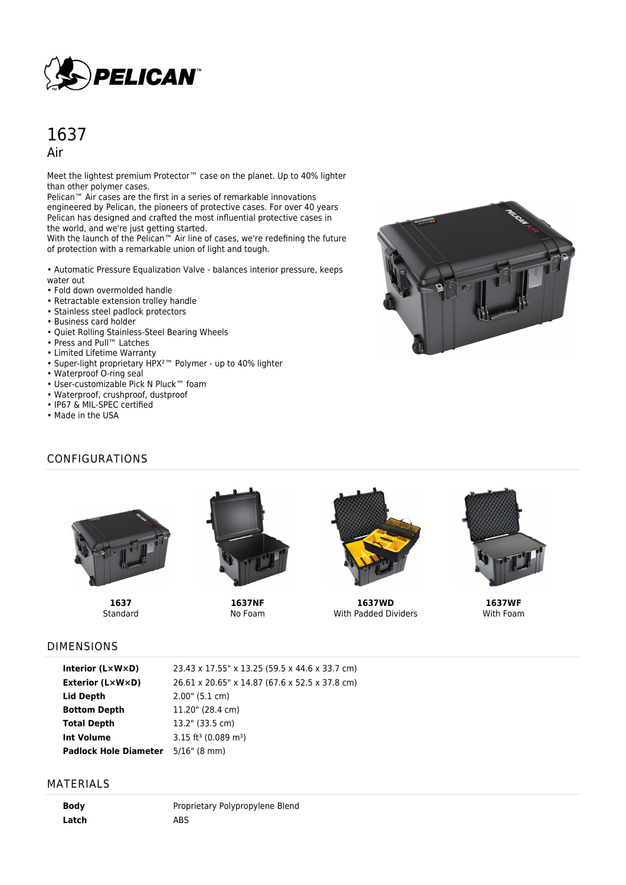

# 1637

Air

Meet the lightest premium Protector<sup>™</sup> case on the planet. Up to 40% lighter than other polymer cases.

Pelican™ Air cases are the first in a series of remarkable innovations engineered by Pelican, the pioneers of protective cases. For over 40 years Pelican has designed and crafted the most influential protective cases in the world, and we're just getting started.

With the launch of the Pelican™ Air line of cases, we're redefining the future of protection with a remarkable union of light and tough.

• Automatic Pressure Equalization Valve - balances interior pressure, keeps water out

- Fold down overmolded handle
- Retractable extension trolley handle
- Stainless steel padlock protectors
- Business card holder
- Quiet Rolling Stainless-Steel Bearing Wheels
- Press and Pull™ Latches
- Limited Lifetime Warranty
- Super-light proprietary HPX²™ Polymer up to 40% lighter
- Waterproof O-ring seal
- User-customizable Pick N Pluck™ foam
- Waterproof, crushproof, dustproof
- IP67 & MIL-SPEC certified
- Made in the USA

## CONFIGURATIONS



**1637** Standard



**1637NF** No Foam



**1637WD** With Padded Dividers



**1637WF** With Foam

#### DIMENSIONS

| Interior $(L \times W \times D)$ | 23.43 x 17.55" x 13.25 (59.5 x 44.6 x 33.7 cm) |
|----------------------------------|------------------------------------------------|
| Exterior (L×W×D)                 | 26.61 x 20.65" x 14.87 (67.6 x 52.5 x 37.8 cm) |
| Lid Depth                        | $2.00$ " (5.1 cm)                              |
| <b>Bottom Depth</b>              | 11.20" (28.4 cm)                               |
| <b>Total Depth</b>               | 13.2" (33.5 cm)                                |
| Int Volume                       | $3.15$ ft <sup>3</sup> (0.089 m <sup>3</sup> ) |
| <b>Padlock Hole Diameter</b>     | $5/16$ " (8 mm)                                |

#### MATERIALS

**Body** Proprietary Polypropylene Blend Latch ABS